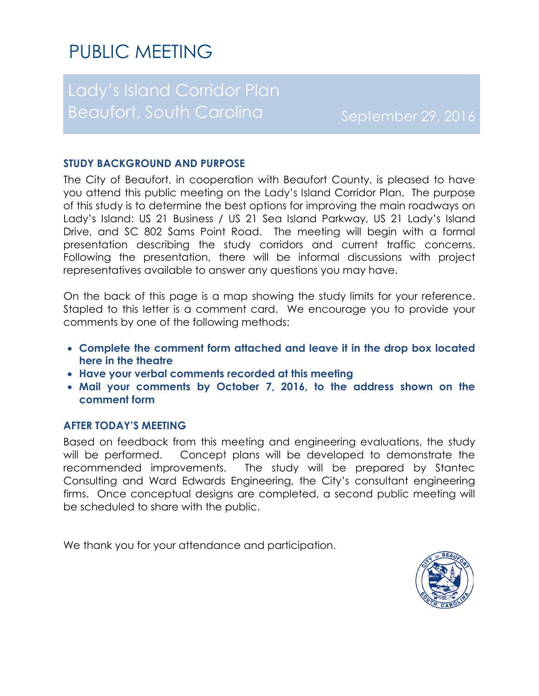# PUBLIC MEETING

## Lady's Island Corridor Plan Beaufort, South Carolina September 29, 2016

### **STUDY BACKGROUND AND PURPOSE**

The City of Beaufort, in cooperation with Beaufort County, is pleased to have you attend this public meeting on the Lady's Island Corridor Plan. The purpose of this study is to determine the best options for improving the main roadways on Lady's Island: US 21 Business / US 21 Sea Island Parkway, US 21 Lady's Island Drive, and SC 802 Sams Point Road. The meeting will begin with a formal presentation describing the study corridors and current traffic concerns. Following the presentation, there will be informal discussions with project representatives available to answer any questions you may have.

On the back of this page is a map showing the study limits for your reference. Stapled to this letter is a comment card. We encourage you to provide your comments by one of the following methods:

- **Complete the comment form attached and leave it in the drop box located here in the theatre**
- **Have your verbal comments recorded at this meeting**
- **Mail your comments by October 7, 2016, to the address shown on the comment form**

#### **AFTER TODAY'S MEETING**

Based on feedback from this meeting and engineering evaluations, the study will be performed. Concept plans will be developed to demonstrate the recommended improvements. The study will be prepared by Stantec Consulting and Ward Edwards Engineering, the City's consultant engineering firms. Once conceptual designs are completed, a second public meeting will be scheduled to share with the public.

We thank you for your attendance and participation.